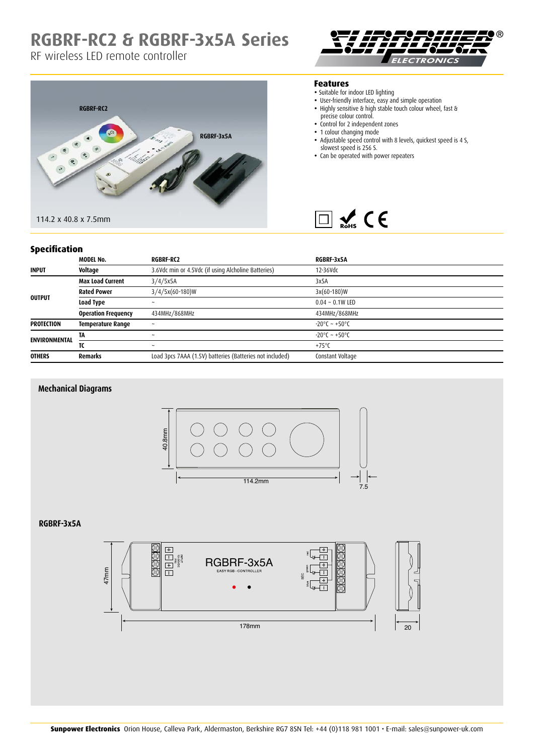## **RGBRF-RC2 & RGBRF-3x5A Series**

## RF wireless LED remote controller





#### **Features**

- Suitable for indoor LED lighting
- User-friendly interface, easy and simple operation
- Highly sensitive & high stable touch colour wheel, fast & precise colour control.
- Control for 2 independent zones
- 1 colour changing mode
- Adjustable speed control with 8 levels, quickest speed is 4 S, slowest speed is 256 S.
- Can be operated with power repeaters



### **Specification**

| ------------         |                            |                                                          |                                   |
|----------------------|----------------------------|----------------------------------------------------------|-----------------------------------|
|                      | <b>MODEL No.</b>           | <b>RGBRF-RC2</b>                                         | RGBRF-3x5A                        |
| <b>INPUT</b>         | Voltage                    | 3.6Vdc min or 4.5Vdc (if using Alcholine Batteries)      | 12-36Vdc                          |
| <b>OUTPUT</b>        | <b>Max Load Current</b>    | 3/4/5x5A                                                 | 3x5A                              |
|                      | <b>Rated Power</b>         | $3/4/5x(60-180)W$                                        | $3x(60-180)W$                     |
|                      | Load Type                  | $\tilde{\phantom{a}}$                                    | $0.04 - 0.1W$ LED                 |
|                      | <b>Operation Frequency</b> | 434MHz/868MHz                                            | 434MHz/868MHz                     |
| <b>PROTECTION</b>    | <b>Temperature Range</b>   | $\ddot{\phantom{0}}$                                     | $-20^{\circ}$ C ~ $+50^{\circ}$ C |
| <b>ENVIRONMENTAL</b> | TA                         | $\tilde{\phantom{a}}$                                    | $-20^{\circ}$ C ~ $+50^{\circ}$ C |
|                      | τс                         | $\tilde{\phantom{a}}$                                    | $+75^{\circ}$ C                   |
| <b>OTHERS</b>        | <b>Remarks</b>             | Load 3pcs 7AAA (1.5V) batteries (Batteries not included) | Constant Voltage                  |

### **Mechanical Diagrams**



#### **RGBRF-3x5A**